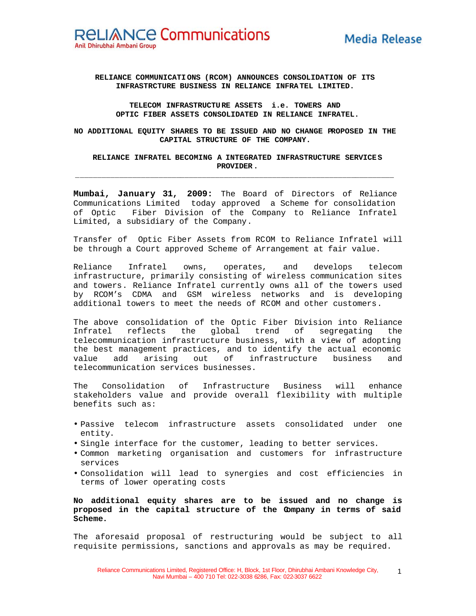## **RELIANCE COMMUNICATIONS (RCOM) ANNOUNCES CONSOLIDATION OF ITS INFRASTRCTURE BUSINESS IN RELIANCE INFRATEL LIMITED.**

### **TELECOM INFRASTRUCTURE ASSETS i.e. TOWERS AND OPTIC FIBER ASSETS CONSOLIDATED IN RELIANCE INFRATEL.**

**NO ADDITIONAL EQUITY SHARES TO BE ISSUED AND NO CHANGE PROPOSED IN THE CAPITAL STRUCTURE OF THE COMPANY.**

### **RELIANCE INFRATEL BECOMING A INTEGRATED INFRASTRUCTURE SERVICES PROVIDER.**

**\_\_\_\_\_\_\_\_\_\_\_\_\_\_\_\_\_\_\_\_\_\_\_\_\_\_\_\_\_\_\_\_\_\_\_\_\_\_\_\_\_\_\_\_\_\_\_\_\_\_\_\_\_\_\_\_\_\_\_\_\_\_\_\_\_\_\_\_\_\_\_\_\_**

**Mumbai, January 31, 2009:** The Board of Directors of Reliance Communications Limited today approved a Scheme for consolidation of Optic Fiber Division of the Company to Reliance Infratel Limited, a subsidiary of the Company.

Transfer of Optic Fiber Assets from RCOM to Reliance Infratel will be through a Court approved Scheme of Arrangement at fair value.

Reliance Infratel owns, operates, and develops telecom infrastructure, primarily consisting of wireless communication sites and towers. Reliance Infratel currently owns all of the towers used by RCOM's CDMA and GSM wireless networks and is developing additional towers to meet the needs of RCOM and other customers.

The above consolidation of the Optic Fiber Division into Reliance Infratel reflects the global trend of segregating the telecommunication infrastructure business, with a view of adopting the best management practices, and to identify the actual economic value add arising out of infrastructure business and telecommunication services businesses.

The Consolidation of Infrastructure Business will enhance stakeholders value and provide overall flexibility with multiple benefits such as:

- Passive telecom infrastructure assets consolidated under one entity.
- Single interface for the customer, leading to better services.
- Common marketing organisation and customers for infrastructure services
- Consolidation will lead to synergies and cost efficiencies in terms of lower operating costs

# **No additional equity shares are to be issued and no change is proposed in the capital structure of the Company in terms of said Scheme.**

The aforesaid proposal of restructuring would be subject to all requisite permissions, sanctions and approvals as may be required.